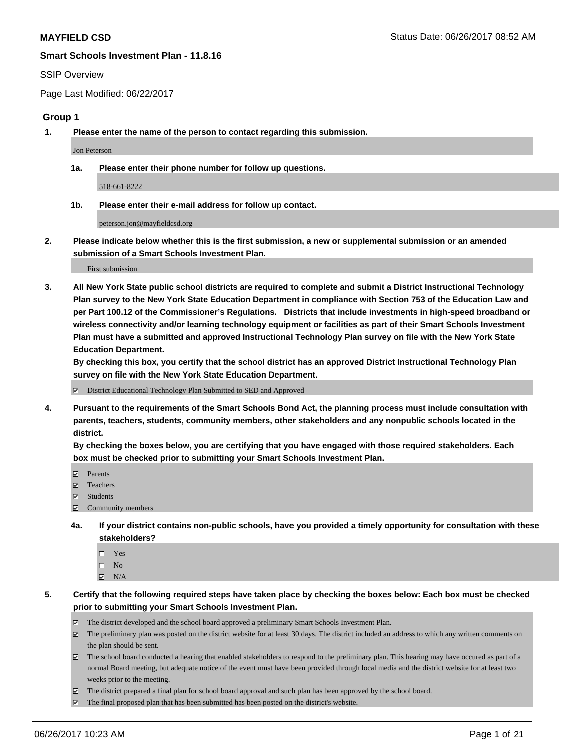#### SSIP Overview

Page Last Modified: 06/22/2017

#### **Group 1**

**1. Please enter the name of the person to contact regarding this submission.**

Jon Peterson

**1a. Please enter their phone number for follow up questions.**

518-661-8222

**1b. Please enter their e-mail address for follow up contact.**

peterson.jon@mayfieldcsd.org

**2. Please indicate below whether this is the first submission, a new or supplemental submission or an amended submission of a Smart Schools Investment Plan.**

First submission

**3. All New York State public school districts are required to complete and submit a District Instructional Technology Plan survey to the New York State Education Department in compliance with Section 753 of the Education Law and per Part 100.12 of the Commissioner's Regulations. Districts that include investments in high-speed broadband or wireless connectivity and/or learning technology equipment or facilities as part of their Smart Schools Investment Plan must have a submitted and approved Instructional Technology Plan survey on file with the New York State Education Department.** 

**By checking this box, you certify that the school district has an approved District Instructional Technology Plan survey on file with the New York State Education Department.**

District Educational Technology Plan Submitted to SED and Approved

**4. Pursuant to the requirements of the Smart Schools Bond Act, the planning process must include consultation with parents, teachers, students, community members, other stakeholders and any nonpublic schools located in the district.** 

**By checking the boxes below, you are certifying that you have engaged with those required stakeholders. Each box must be checked prior to submitting your Smart Schools Investment Plan.**

- **マ** Parents
- □ Teachers
- Students
- $\Xi$  Community members
- **4a. If your district contains non-public schools, have you provided a timely opportunity for consultation with these stakeholders?**
	- Yes
	- $\hfill \square$  No
	- $\boxtimes$  N/A
- **5. Certify that the following required steps have taken place by checking the boxes below: Each box must be checked prior to submitting your Smart Schools Investment Plan.**
	- The district developed and the school board approved a preliminary Smart Schools Investment Plan.
	- $\boxtimes$  The preliminary plan was posted on the district website for at least 30 days. The district included an address to which any written comments on the plan should be sent.
	- $\boxtimes$  The school board conducted a hearing that enabled stakeholders to respond to the preliminary plan. This hearing may have occured as part of a normal Board meeting, but adequate notice of the event must have been provided through local media and the district website for at least two weeks prior to the meeting.
	- The district prepared a final plan for school board approval and such plan has been approved by the school board.
	- $\boxtimes$  The final proposed plan that has been submitted has been posted on the district's website.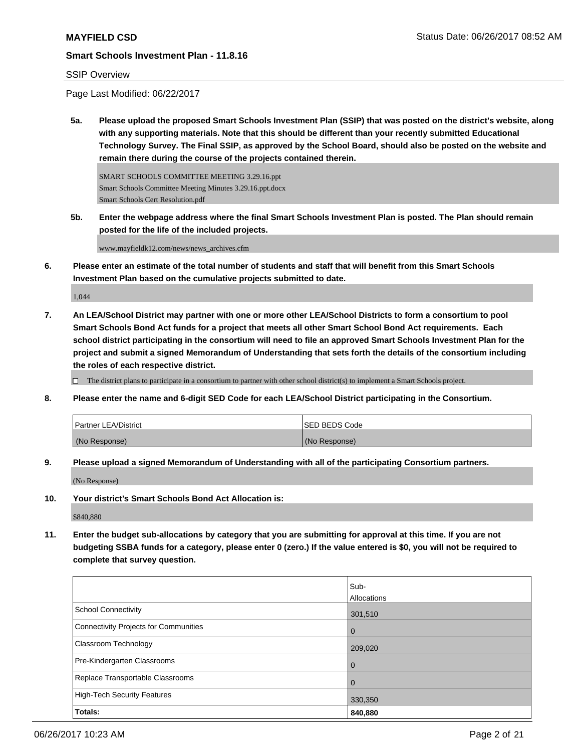## SSIP Overview

Page Last Modified: 06/22/2017

**5a. Please upload the proposed Smart Schools Investment Plan (SSIP) that was posted on the district's website, along with any supporting materials. Note that this should be different than your recently submitted Educational Technology Survey. The Final SSIP, as approved by the School Board, should also be posted on the website and remain there during the course of the projects contained therein.**

SMART SCHOOLS COMMITTEE MEETING 3.29.16.ppt Smart Schools Committee Meeting Minutes 3.29.16.ppt.docx Smart Schools Cert Resolution.pdf

**5b. Enter the webpage address where the final Smart Schools Investment Plan is posted. The Plan should remain posted for the life of the included projects.**

www.mayfieldk12.com/news/news\_archives.cfm

**6. Please enter an estimate of the total number of students and staff that will benefit from this Smart Schools Investment Plan based on the cumulative projects submitted to date.**

1,044

**7. An LEA/School District may partner with one or more other LEA/School Districts to form a consortium to pool Smart Schools Bond Act funds for a project that meets all other Smart School Bond Act requirements. Each school district participating in the consortium will need to file an approved Smart Schools Investment Plan for the project and submit a signed Memorandum of Understanding that sets forth the details of the consortium including the roles of each respective district.**

 $\Box$  The district plans to participate in a consortium to partner with other school district(s) to implement a Smart Schools project.

**8. Please enter the name and 6-digit SED Code for each LEA/School District participating in the Consortium.**

| <b>Partner LEA/District</b> | ISED BEDS Code |
|-----------------------------|----------------|
| (No Response)               | (No Response)  |

**9. Please upload a signed Memorandum of Understanding with all of the participating Consortium partners.**

(No Response)

**10. Your district's Smart Schools Bond Act Allocation is:**

\$840,880

**11. Enter the budget sub-allocations by category that you are submitting for approval at this time. If you are not budgeting SSBA funds for a category, please enter 0 (zero.) If the value entered is \$0, you will not be required to complete that survey question.**

|                                              | Sub-<br>Allocations |
|----------------------------------------------|---------------------|
|                                              |                     |
| <b>School Connectivity</b>                   | 301,510             |
| <b>Connectivity Projects for Communities</b> | 0                   |
| Classroom Technology                         | 209,020             |
| Pre-Kindergarten Classrooms                  | $\Omega$            |
| Replace Transportable Classrooms             |                     |
| <b>High-Tech Security Features</b>           | 330,350             |
| Totals:                                      | 840,880             |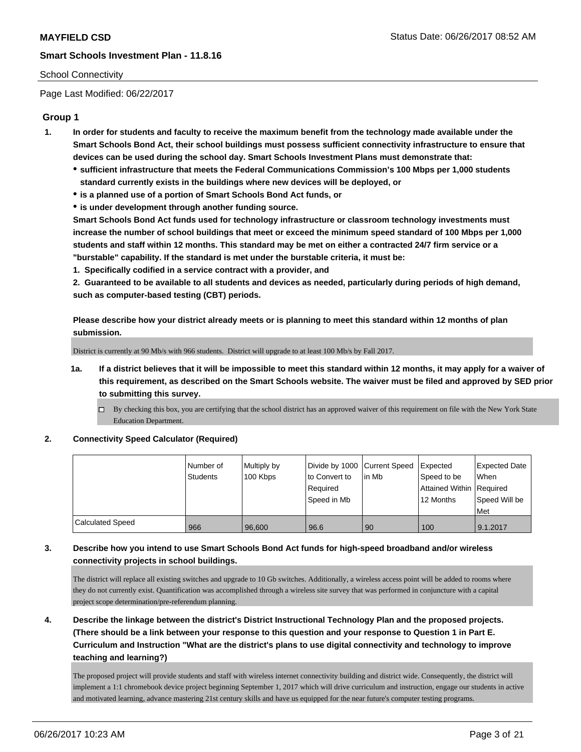#### School Connectivity

Page Last Modified: 06/22/2017

## **Group 1**

- **1. In order for students and faculty to receive the maximum benefit from the technology made available under the Smart Schools Bond Act, their school buildings must possess sufficient connectivity infrastructure to ensure that devices can be used during the school day. Smart Schools Investment Plans must demonstrate that:**
	- **sufficient infrastructure that meets the Federal Communications Commission's 100 Mbps per 1,000 students standard currently exists in the buildings where new devices will be deployed, or**
	- **is a planned use of a portion of Smart Schools Bond Act funds, or**
	- **is under development through another funding source.**

**Smart Schools Bond Act funds used for technology infrastructure or classroom technology investments must increase the number of school buildings that meet or exceed the minimum speed standard of 100 Mbps per 1,000 students and staff within 12 months. This standard may be met on either a contracted 24/7 firm service or a "burstable" capability. If the standard is met under the burstable criteria, it must be:**

**1. Specifically codified in a service contract with a provider, and**

**2. Guaranteed to be available to all students and devices as needed, particularly during periods of high demand, such as computer-based testing (CBT) periods.**

**Please describe how your district already meets or is planning to meet this standard within 12 months of plan submission.**

District is currently at 90 Mb/s with 966 students. District will upgrade to at least 100 Mb/s by Fall 2017.

- **1a. If a district believes that it will be impossible to meet this standard within 12 months, it may apply for a waiver of this requirement, as described on the Smart Schools website. The waiver must be filed and approved by SED prior to submitting this survey.**
	- By checking this box, you are certifying that the school district has an approved waiver of this requirement on file with the New York State Education Department.

#### **2. Connectivity Speed Calculator (Required)**

|                         | Number of<br><b>Students</b> | Multiply by<br>100 Kbps | Divide by 1000   Current Speed<br>to Convert to<br>Required | lin Mb | Expected<br>Speed to be<br>Attained Within   Required | <b>Expected Date</b><br>When |
|-------------------------|------------------------------|-------------------------|-------------------------------------------------------------|--------|-------------------------------------------------------|------------------------------|
|                         |                              |                         | Speed in Mb                                                 |        | 12 Months                                             | Speed Will be                |
|                         |                              |                         |                                                             |        |                                                       | Met                          |
| <b>Calculated Speed</b> | 966                          | 96.600                  | 96.6                                                        | -90    | 100                                                   | 9.1.2017                     |

## **3. Describe how you intend to use Smart Schools Bond Act funds for high-speed broadband and/or wireless connectivity projects in school buildings.**

The district will replace all existing switches and upgrade to 10 Gb switches. Additionally, a wireless access point will be added to rooms where they do not currently exist. Quantification was accomplished through a wireless site survey that was performed in conjuncture with a capital project scope determination/pre-referendum planning.

**4. Describe the linkage between the district's District Instructional Technology Plan and the proposed projects. (There should be a link between your response to this question and your response to Question 1 in Part E. Curriculum and Instruction "What are the district's plans to use digital connectivity and technology to improve teaching and learning?)**

The proposed project will provide students and staff with wireless internet connectivity building and district wide. Consequently, the district will implement a 1:1 chromebook device project beginning September 1, 2017 which will drive curriculum and instruction, engage our students in active and motivated learning, advance mastering 21st century skills and have us equipped for the near future's computer testing programs.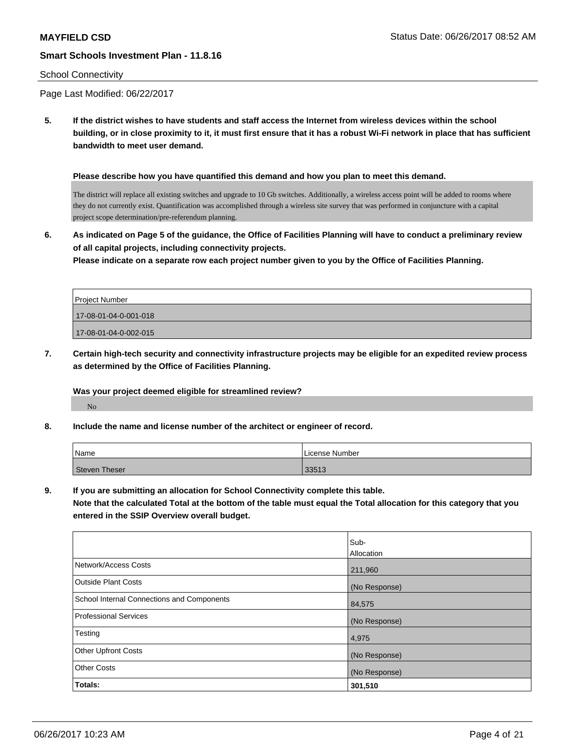#### School Connectivity

Page Last Modified: 06/22/2017

**5. If the district wishes to have students and staff access the Internet from wireless devices within the school building, or in close proximity to it, it must first ensure that it has a robust Wi-Fi network in place that has sufficient bandwidth to meet user demand.**

**Please describe how you have quantified this demand and how you plan to meet this demand.**

The district will replace all existing switches and upgrade to 10 Gb switches. Additionally, a wireless access point will be added to rooms where they do not currently exist. Quantification was accomplished through a wireless site survey that was performed in conjuncture with a capital project scope determination/pre-referendum planning.

**6. As indicated on Page 5 of the guidance, the Office of Facilities Planning will have to conduct a preliminary review of all capital projects, including connectivity projects.**

**Please indicate on a separate row each project number given to you by the Office of Facilities Planning.**

| Project Number        |  |
|-----------------------|--|
| 17-08-01-04-0-001-018 |  |
| 17-08-01-04-0-002-015 |  |

**7. Certain high-tech security and connectivity infrastructure projects may be eligible for an expedited review process as determined by the Office of Facilities Planning.**

#### **Was your project deemed eligible for streamlined review?**

No

**8. Include the name and license number of the architect or engineer of record.**

| Name          | License Number |
|---------------|----------------|
| Steven Theser | 33513          |

**9. If you are submitting an allocation for School Connectivity complete this table.**

**Note that the calculated Total at the bottom of the table must equal the Total allocation for this category that you entered in the SSIP Overview overall budget.** 

|                                                   | Sub-<br><b>Allocation</b> |
|---------------------------------------------------|---------------------------|
| Network/Access Costs                              | 211,960                   |
| Outside Plant Costs                               | (No Response)             |
| <b>School Internal Connections and Components</b> | 84,575                    |
| <b>Professional Services</b>                      | (No Response)             |
| Testing                                           | 4,975                     |
| <b>Other Upfront Costs</b>                        | (No Response)             |
| <b>Other Costs</b>                                | (No Response)             |
| Totals:                                           | 301,510                   |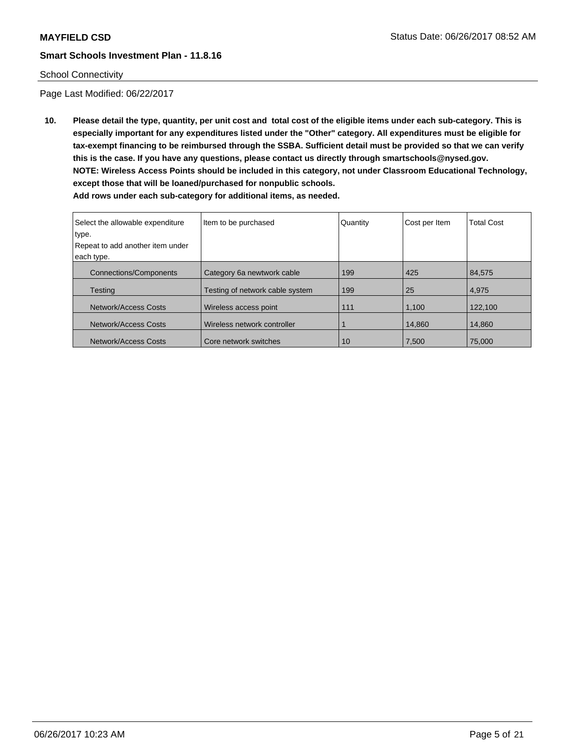#### School Connectivity

Page Last Modified: 06/22/2017

**10. Please detail the type, quantity, per unit cost and total cost of the eligible items under each sub-category. This is especially important for any expenditures listed under the "Other" category. All expenditures must be eligible for tax-exempt financing to be reimbursed through the SSBA. Sufficient detail must be provided so that we can verify this is the case. If you have any questions, please contact us directly through smartschools@nysed.gov. NOTE: Wireless Access Points should be included in this category, not under Classroom Educational Technology, except those that will be loaned/purchased for nonpublic schools. Add rows under each sub-category for additional items, as needed.**

| Select the allowable expenditure<br>type. | Item to be purchased            | Quantity | Cost per Item | <b>Total Cost</b> |
|-------------------------------------------|---------------------------------|----------|---------------|-------------------|
| Repeat to add another item under          |                                 |          |               |                   |
| each type.                                |                                 |          |               |                   |
| <b>Connections/Components</b>             | Category 6a newtwork cable      | 199      | 425           | 84,575            |
| Testing                                   | Testing of network cable system | 199      | 25            | 4,975             |
| Network/Access Costs                      | Wireless access point           | 111      | 1,100         | 122,100           |
| Network/Access Costs                      | Wireless network controller     |          | 14.860        | 14.860            |
| Network/Access Costs                      | Core network switches           | 10       | 7.500         | 75,000            |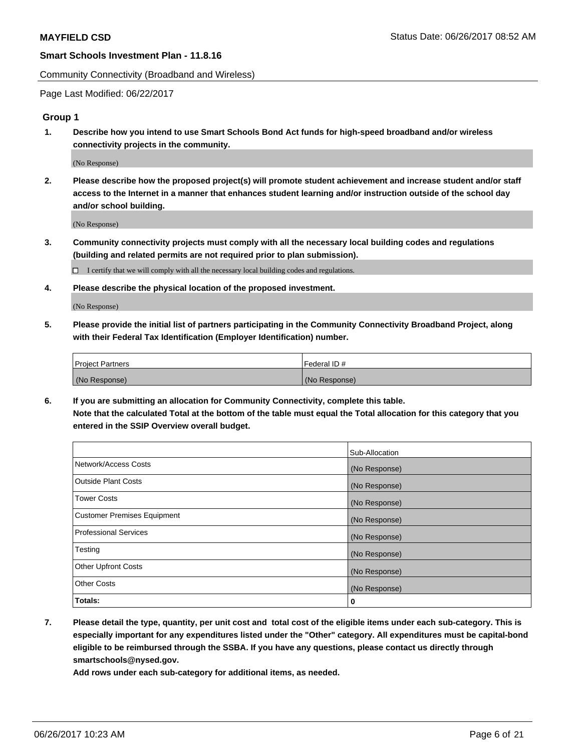Community Connectivity (Broadband and Wireless)

Page Last Modified: 06/22/2017

#### **Group 1**

**1. Describe how you intend to use Smart Schools Bond Act funds for high-speed broadband and/or wireless connectivity projects in the community.**

(No Response)

**2. Please describe how the proposed project(s) will promote student achievement and increase student and/or staff access to the Internet in a manner that enhances student learning and/or instruction outside of the school day and/or school building.**

(No Response)

**3. Community connectivity projects must comply with all the necessary local building codes and regulations (building and related permits are not required prior to plan submission).**

 $\Box$  I certify that we will comply with all the necessary local building codes and regulations.

**4. Please describe the physical location of the proposed investment.**

(No Response)

**5. Please provide the initial list of partners participating in the Community Connectivity Broadband Project, along with their Federal Tax Identification (Employer Identification) number.**

| <b>Project Partners</b> | Federal ID#     |
|-------------------------|-----------------|
| (No Response)           | l (No Response) |

**6. If you are submitting an allocation for Community Connectivity, complete this table. Note that the calculated Total at the bottom of the table must equal the Total allocation for this category that you entered in the SSIP Overview overall budget.**

|                                    | Sub-Allocation |
|------------------------------------|----------------|
| Network/Access Costs               | (No Response)  |
| Outside Plant Costs                | (No Response)  |
| Tower Costs                        | (No Response)  |
| <b>Customer Premises Equipment</b> | (No Response)  |
| <b>Professional Services</b>       | (No Response)  |
| Testing                            | (No Response)  |
| <b>Other Upfront Costs</b>         | (No Response)  |
| <b>Other Costs</b>                 | (No Response)  |
| Totals:                            | 0              |

**7. Please detail the type, quantity, per unit cost and total cost of the eligible items under each sub-category. This is especially important for any expenditures listed under the "Other" category. All expenditures must be capital-bond eligible to be reimbursed through the SSBA. If you have any questions, please contact us directly through smartschools@nysed.gov.**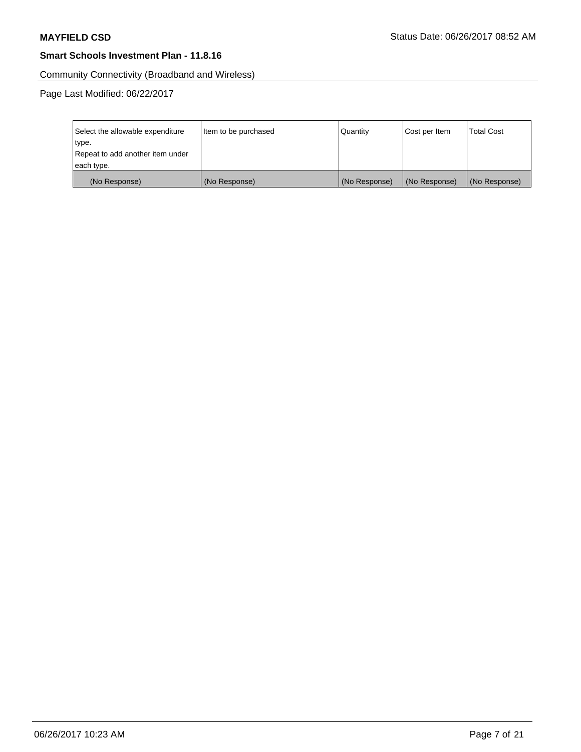Community Connectivity (Broadband and Wireless)

Page Last Modified: 06/22/2017

| Select the allowable expenditure | Item to be purchased | Quantity      | Cost per Item | <b>Total Cost</b> |
|----------------------------------|----------------------|---------------|---------------|-------------------|
| type.                            |                      |               |               |                   |
| Repeat to add another item under |                      |               |               |                   |
| each type.                       |                      |               |               |                   |
| (No Response)                    | (No Response)        | (No Response) | (No Response) | (No Response)     |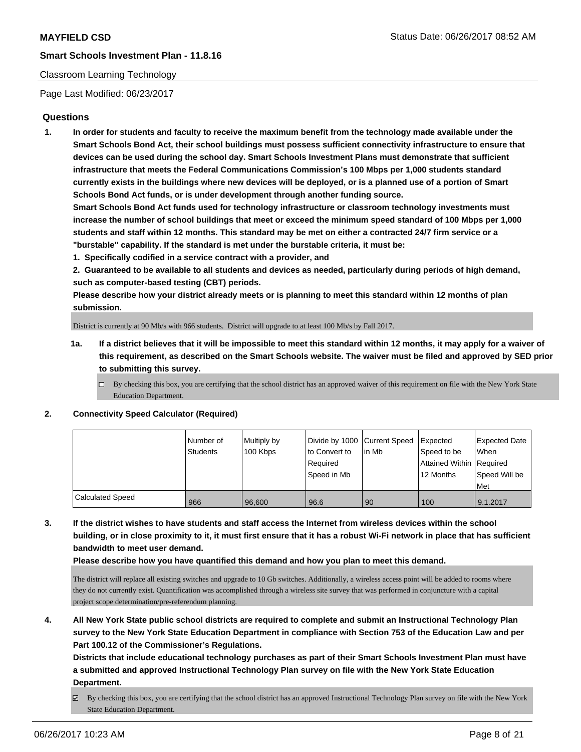#### Classroom Learning Technology

Page Last Modified: 06/23/2017

## **Questions**

**1. In order for students and faculty to receive the maximum benefit from the technology made available under the Smart Schools Bond Act, their school buildings must possess sufficient connectivity infrastructure to ensure that devices can be used during the school day. Smart Schools Investment Plans must demonstrate that sufficient infrastructure that meets the Federal Communications Commission's 100 Mbps per 1,000 students standard currently exists in the buildings where new devices will be deployed, or is a planned use of a portion of Smart Schools Bond Act funds, or is under development through another funding source.**

**Smart Schools Bond Act funds used for technology infrastructure or classroom technology investments must increase the number of school buildings that meet or exceed the minimum speed standard of 100 Mbps per 1,000 students and staff within 12 months. This standard may be met on either a contracted 24/7 firm service or a "burstable" capability. If the standard is met under the burstable criteria, it must be:**

- **1. Specifically codified in a service contract with a provider, and**
- **2. Guaranteed to be available to all students and devices as needed, particularly during periods of high demand, such as computer-based testing (CBT) periods.**

**Please describe how your district already meets or is planning to meet this standard within 12 months of plan submission.**

District is currently at 90 Mb/s with 966 students. District will upgrade to at least 100 Mb/s by Fall 2017.

- **1a. If a district believes that it will be impossible to meet this standard within 12 months, it may apply for a waiver of this requirement, as described on the Smart Schools website. The waiver must be filed and approved by SED prior to submitting this survey.**
	- $\Box$  By checking this box, you are certifying that the school district has an approved waiver of this requirement on file with the New York State Education Department.

#### **2. Connectivity Speed Calculator (Required)**

|                         | l Number of<br><b>Students</b> | Multiply by<br>100 Kbps | Divide by 1000 Current Speed<br>to Convert to<br>Required<br>Speed in Mb | lin Mb | Expected<br>Speed to be<br>Attained Within Required<br>12 Months | Expected Date<br>When<br>Speed Will be<br>Met |
|-------------------------|--------------------------------|-------------------------|--------------------------------------------------------------------------|--------|------------------------------------------------------------------|-----------------------------------------------|
| <b>Calculated Speed</b> | 966                            | 96.600                  | 96.6                                                                     | 90     | 100                                                              | 9.1.2017                                      |

**3. If the district wishes to have students and staff access the Internet from wireless devices within the school building, or in close proximity to it, it must first ensure that it has a robust Wi-Fi network in place that has sufficient bandwidth to meet user demand.**

**Please describe how you have quantified this demand and how you plan to meet this demand.**

The district will replace all existing switches and upgrade to 10 Gb switches. Additionally, a wireless access point will be added to rooms where they do not currently exist. Quantification was accomplished through a wireless site survey that was performed in conjuncture with a capital project scope determination/pre-referendum planning.

**4. All New York State public school districts are required to complete and submit an Instructional Technology Plan survey to the New York State Education Department in compliance with Section 753 of the Education Law and per Part 100.12 of the Commissioner's Regulations.**

**Districts that include educational technology purchases as part of their Smart Schools Investment Plan must have a submitted and approved Instructional Technology Plan survey on file with the New York State Education Department.**

By checking this box, you are certifying that the school district has an approved Instructional Technology Plan survey on file with the New York State Education Department.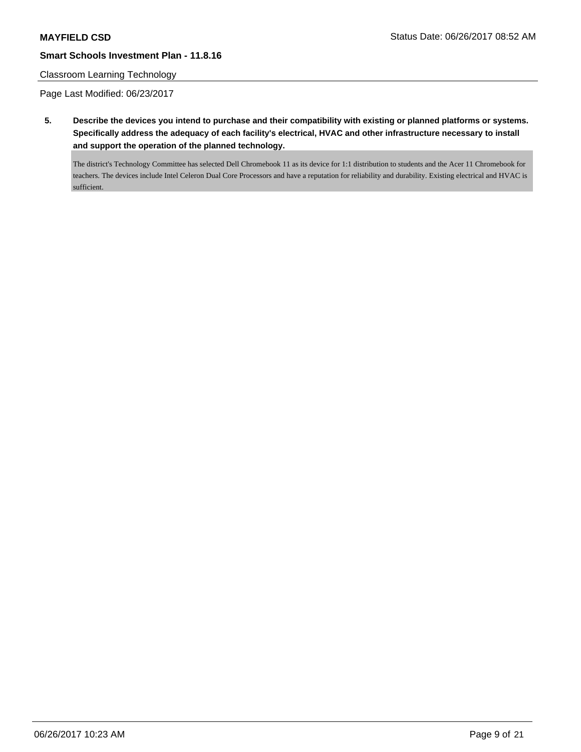#### Classroom Learning Technology

Page Last Modified: 06/23/2017

**5. Describe the devices you intend to purchase and their compatibility with existing or planned platforms or systems. Specifically address the adequacy of each facility's electrical, HVAC and other infrastructure necessary to install and support the operation of the planned technology.**

The district's Technology Committee has selected Dell Chromebook 11 as its device for 1:1 distribution to students and the Acer 11 Chromebook for teachers. The devices include Intel Celeron Dual Core Processors and have a reputation for reliability and durability. Existing electrical and HVAC is sufficient.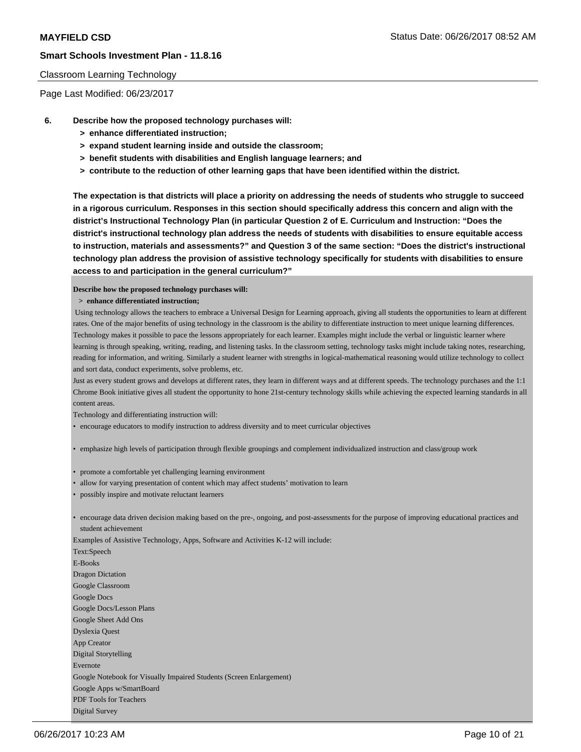#### Classroom Learning Technology

Page Last Modified: 06/23/2017

- **6. Describe how the proposed technology purchases will:**
	- **> enhance differentiated instruction;**
	- **> expand student learning inside and outside the classroom;**
	- **> benefit students with disabilities and English language learners; and**
	- **> contribute to the reduction of other learning gaps that have been identified within the district.**

**The expectation is that districts will place a priority on addressing the needs of students who struggle to succeed in a rigorous curriculum. Responses in this section should specifically address this concern and align with the district's Instructional Technology Plan (in particular Question 2 of E. Curriculum and Instruction: "Does the district's instructional technology plan address the needs of students with disabilities to ensure equitable access to instruction, materials and assessments?" and Question 3 of the same section: "Does the district's instructional technology plan address the provision of assistive technology specifically for students with disabilities to ensure access to and participation in the general curriculum?"**

**Describe how the proposed technology purchases will:**

 **> enhance differentiated instruction;**

 Using technology allows the teachers to embrace a Universal Design for Learning approach, giving all students the opportunities to learn at different rates. One of the major benefits of using technology in the classroom is the ability to differentiate instruction to meet unique learning differences. Technology makes it possible to pace the lessons appropriately for each learner. Examples might include the verbal or linguistic learner where learning is through speaking, writing, reading, and listening tasks. In the classroom setting, technology tasks might include taking notes, researching, reading for information, and writing. Similarly a student learner with strengths in logical-mathematical reasoning would utilize technology to collect and sort data, conduct experiments, solve problems, etc.

Just as every student grows and develops at different rates, they learn in different ways and at different speeds. The technology purchases and the 1:1 Chrome Book initiative gives all student the opportunity to hone 21st-century technology skills while achieving the expected learning standards in all content areas.

Technology and differentiating instruction will:

- encourage educators to modify instruction to address diversity and to meet curricular objectives
- emphasize high levels of participation through flexible groupings and complement individualized instruction and class/group work
- promote a comfortable yet challenging learning environment
- allow for varying presentation of content which may affect students' motivation to learn
- possibly inspire and motivate reluctant learners
- encourage data driven decision making based on the pre-, ongoing, and post-assessments for the purpose of improving educational practices and student achievement

Examples of Assistive Technology, Apps, Software and Activities K-12 will include:

Text:Speech E-Books Dragon Dictation Google Classroom Google Docs Google Docs/Lesson Plans Google Sheet Add Ons Dyslexia Quest App Creator Digital Storytelling Evernote Google Notebook for Visually Impaired Students (Screen Enlargement) Google Apps w/SmartBoard PDF Tools for Teachers Digital Survey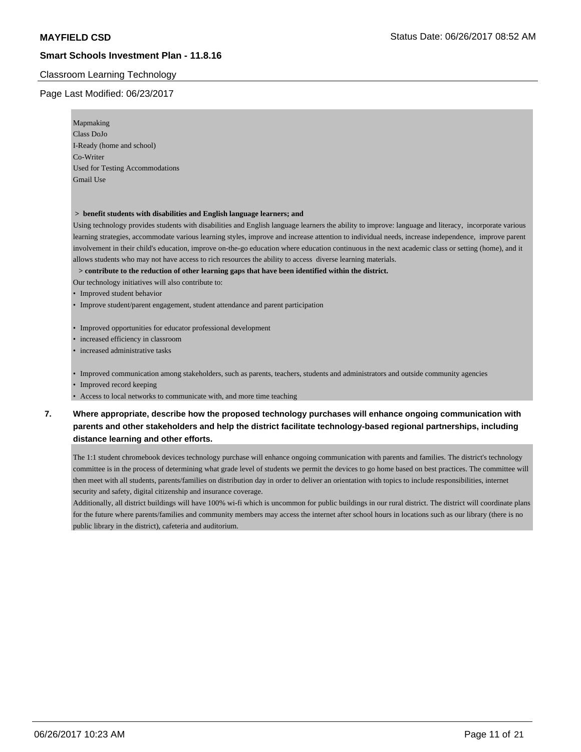#### Classroom Learning Technology

#### Page Last Modified: 06/23/2017

| Mapmaking                       |
|---------------------------------|
| Class DoJo                      |
| I-Ready (home and school)       |
| Co-Writer                       |
| Used for Testing Accommodations |
| <b>Gmail Use</b>                |

#### **> benefit students with disabilities and English language learners; and**

Using technology provides students with disabilities and English language learners the ability to improve: language and literacy, incorporate various learning strategies, accommodate various learning styles, improve and increase attention to individual needs, increase independence, improve parent involvement in their child's education, improve on-the-go education where education continuous in the next academic class or setting (home), and it allows students who may not have access to rich resources the ability to access diverse learning materials.

**> contribute to the reduction of other learning gaps that have been identified within the district.**

Our technology initiatives will also contribute to:

- Improved student behavior
- Improve student/parent engagement, student attendance and parent participation
- Improved opportunities for educator professional development
- increased efficiency in classroom
- increased administrative tasks
- Improved communication among stakeholders, such as parents, teachers, students and administrators and outside community agencies
- Improved record keeping
- Access to local networks to communicate with, and more time teaching
- **7. Where appropriate, describe how the proposed technology purchases will enhance ongoing communication with parents and other stakeholders and help the district facilitate technology-based regional partnerships, including distance learning and other efforts.**

The 1:1 student chromebook devices technology purchase will enhance ongoing communication with parents and families. The district's technology committee is in the process of determining what grade level of students we permit the devices to go home based on best practices. The committee will then meet with all students, parents/families on distribution day in order to deliver an orientation with topics to include responsibilities, internet security and safety, digital citizenship and insurance coverage.

Additionally, all district buildings will have 100% wi-fi which is uncommon for public buildings in our rural district. The district will coordinate plans for the future where parents/families and community members may access the internet after school hours in locations such as our library (there is no public library in the district), cafeteria and auditorium.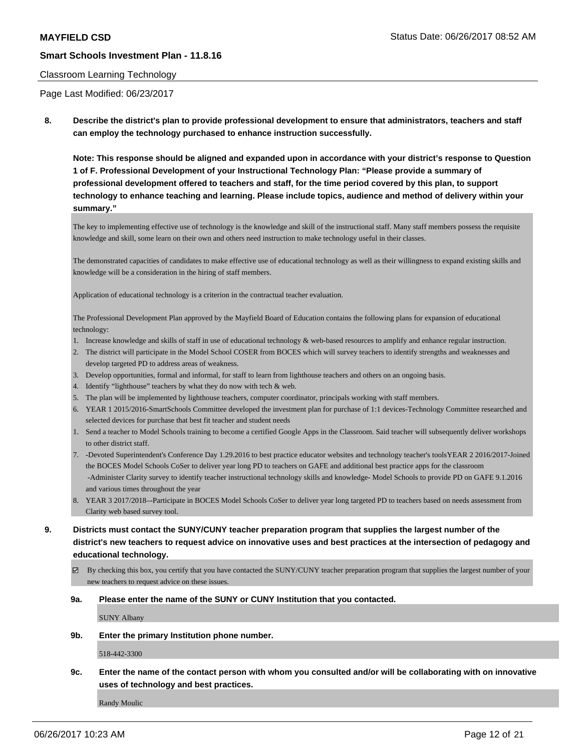#### Classroom Learning Technology

Page Last Modified: 06/23/2017

**8. Describe the district's plan to provide professional development to ensure that administrators, teachers and staff can employ the technology purchased to enhance instruction successfully.**

**Note: This response should be aligned and expanded upon in accordance with your district's response to Question 1 of F. Professional Development of your Instructional Technology Plan: "Please provide a summary of professional development offered to teachers and staff, for the time period covered by this plan, to support technology to enhance teaching and learning. Please include topics, audience and method of delivery within your summary."**

The key to implementing effective use of technology is the knowledge and skill of the instructional staff. Many staff members possess the requisite knowledge and skill, some learn on their own and others need instruction to make technology useful in their classes.

The demonstrated capacities of candidates to make effective use of educational technology as well as their willingness to expand existing skills and knowledge will be a consideration in the hiring of staff members.

Application of educational technology is a criterion in the contractual teacher evaluation.

The Professional Development Plan approved by the Mayfield Board of Education contains the following plans for expansion of educational technology:

- 1. Increase knowledge and skills of staff in use of educational technology & web-based resources to amplify and enhance regular instruction.
- 2. The district will participate in the Model School COSER from BOCES which will survey teachers to identify strengths and weaknesses and develop targeted PD to address areas of weakness.
- 3. Develop opportunities, formal and informal, for staff to learn from lighthouse teachers and others on an ongoing basis.
- 4. Identify "lighthouse" teachers by what they do now with tech & web.
- 5. The plan will be implemented by lighthouse teachers, computer coordinator, principals working with staff members.
- 6. YEAR 1 2015/2016-SmartSchools Committee developed the investment plan for purchase of 1:1 devices-Technology Committee researched and selected devices for purchase that best fit teacher and student needs
- 1. Send a teacher to Model Schools training to become a certified Google Apps in the Classroom. Said teacher will subsequently deliver workshops to other district staff.
- 7. -Devoted Superintendent's Conference Day 1.29.2016 to best practice educator websites and technology teacher's toolsYEAR 2 2016/2017-Joined the BOCES Model Schools CoSer to deliver year long PD to teachers on GAFE and additional best practice apps for the classroom -Administer Clarity survey to identify teacher instructional technology skills and knowledge- Model Schools to provide PD on GAFE 9.1.2016 and various times throughout the year
- 8. YEAR 3 2017/2018–-Participate in BOCES Model Schools CoSer to deliver year long targeted PD to teachers based on needs assessment from Clarity web based survey tool.
- **9. Districts must contact the SUNY/CUNY teacher preparation program that supplies the largest number of the district's new teachers to request advice on innovative uses and best practices at the intersection of pedagogy and educational technology.**
	- $\boxtimes$  By checking this box, you certify that you have contacted the SUNY/CUNY teacher preparation program that supplies the largest number of your new teachers to request advice on these issues.
	- **9a. Please enter the name of the SUNY or CUNY Institution that you contacted.**

SUNY Albany

**9b. Enter the primary Institution phone number.**

518-442-3300

**9c. Enter the name of the contact person with whom you consulted and/or will be collaborating with on innovative uses of technology and best practices.**

Randy Moulic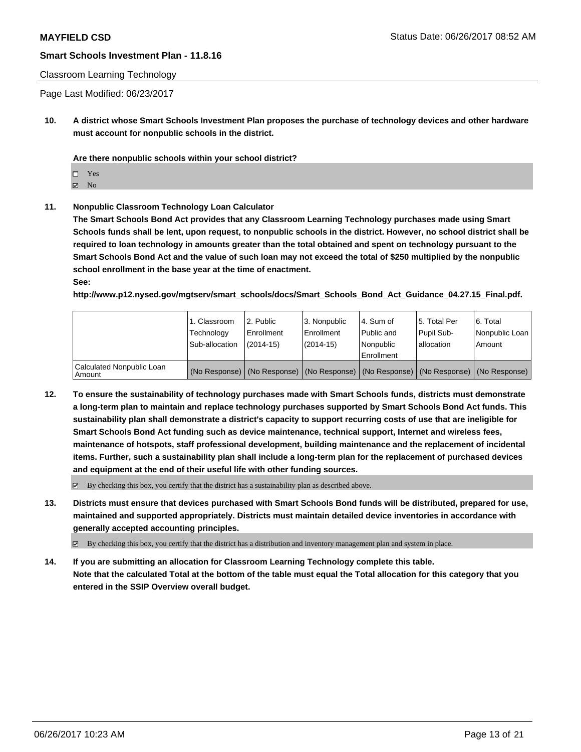#### Classroom Learning Technology

Page Last Modified: 06/23/2017

**10. A district whose Smart Schools Investment Plan proposes the purchase of technology devices and other hardware must account for nonpublic schools in the district.**

**Are there nonpublic schools within your school district?**

Yes

 $\boxtimes$  No

**11. Nonpublic Classroom Technology Loan Calculator**

**The Smart Schools Bond Act provides that any Classroom Learning Technology purchases made using Smart Schools funds shall be lent, upon request, to nonpublic schools in the district. However, no school district shall be required to loan technology in amounts greater than the total obtained and spent on technology pursuant to the Smart Schools Bond Act and the value of such loan may not exceed the total of \$250 multiplied by the nonpublic school enrollment in the base year at the time of enactment. See:**

**http://www.p12.nysed.gov/mgtserv/smart\_schools/docs/Smart\_Schools\_Bond\_Act\_Guidance\_04.27.15\_Final.pdf.**

|                                       | 1. Classroom<br>Technology<br>Sub-allocation | l 2. Public<br>Enrollment<br>$(2014-15)$ | 3. Nonpublic<br>l Enrollment<br>$(2014-15)$ | l 4. Sum of<br>Public and<br>l Nonpublic<br>Enrollment                                        | 15. Total Per<br>Pupil Sub-<br>lallocation | l 6. Total<br>Nonpublic Loan<br>Amount |
|---------------------------------------|----------------------------------------------|------------------------------------------|---------------------------------------------|-----------------------------------------------------------------------------------------------|--------------------------------------------|----------------------------------------|
| Calculated Nonpublic Loan<br>l Amount |                                              |                                          |                                             | (No Response)   (No Response)   (No Response)   (No Response)   (No Response)   (No Response) |                                            |                                        |

**12. To ensure the sustainability of technology purchases made with Smart Schools funds, districts must demonstrate a long-term plan to maintain and replace technology purchases supported by Smart Schools Bond Act funds. This sustainability plan shall demonstrate a district's capacity to support recurring costs of use that are ineligible for Smart Schools Bond Act funding such as device maintenance, technical support, Internet and wireless fees, maintenance of hotspots, staff professional development, building maintenance and the replacement of incidental items. Further, such a sustainability plan shall include a long-term plan for the replacement of purchased devices and equipment at the end of their useful life with other funding sources.**

 $\boxtimes$  By checking this box, you certify that the district has a sustainability plan as described above.

**13. Districts must ensure that devices purchased with Smart Schools Bond funds will be distributed, prepared for use, maintained and supported appropriately. Districts must maintain detailed device inventories in accordance with generally accepted accounting principles.**

By checking this box, you certify that the district has a distribution and inventory management plan and system in place.

**14. If you are submitting an allocation for Classroom Learning Technology complete this table. Note that the calculated Total at the bottom of the table must equal the Total allocation for this category that you entered in the SSIP Overview overall budget.**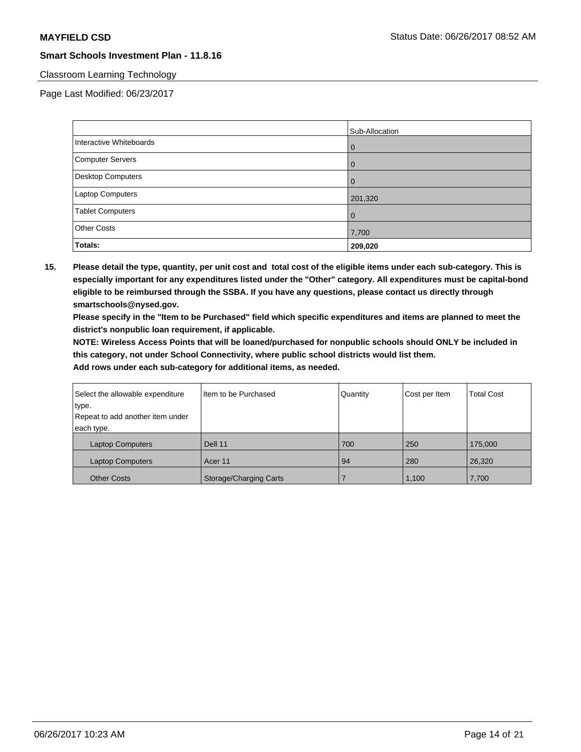## Classroom Learning Technology

Page Last Modified: 06/23/2017

|                         | Sub-Allocation |
|-------------------------|----------------|
| Interactive Whiteboards | 0              |
| Computer Servers        |                |
| Desktop Computers       |                |
| <b>Laptop Computers</b> | 201,320        |
| <b>Tablet Computers</b> | 0              |
| <b>Other Costs</b>      | 7,700          |
| Totals:                 | 209,020        |

**15. Please detail the type, quantity, per unit cost and total cost of the eligible items under each sub-category. This is especially important for any expenditures listed under the "Other" category. All expenditures must be capital-bond eligible to be reimbursed through the SSBA. If you have any questions, please contact us directly through smartschools@nysed.gov.**

**Please specify in the "Item to be Purchased" field which specific expenditures and items are planned to meet the district's nonpublic loan requirement, if applicable.**

**NOTE: Wireless Access Points that will be loaned/purchased for nonpublic schools should ONLY be included in this category, not under School Connectivity, where public school districts would list them.**

| Select the allowable expenditure | Item to be Purchased   | Quantity | Cost per Item | <b>Total Cost</b> |
|----------------------------------|------------------------|----------|---------------|-------------------|
| type.                            |                        |          |               |                   |
| Repeat to add another item under |                        |          |               |                   |
| each type.                       |                        |          |               |                   |
| <b>Laptop Computers</b>          | Dell 11                | 700      | 250           | 175,000           |
| <b>Laptop Computers</b>          | Acer 11                | 94       | 280           | 26,320            |
| <b>Other Costs</b>               | Storage/Charging Carts |          | 1,100         | 7,700             |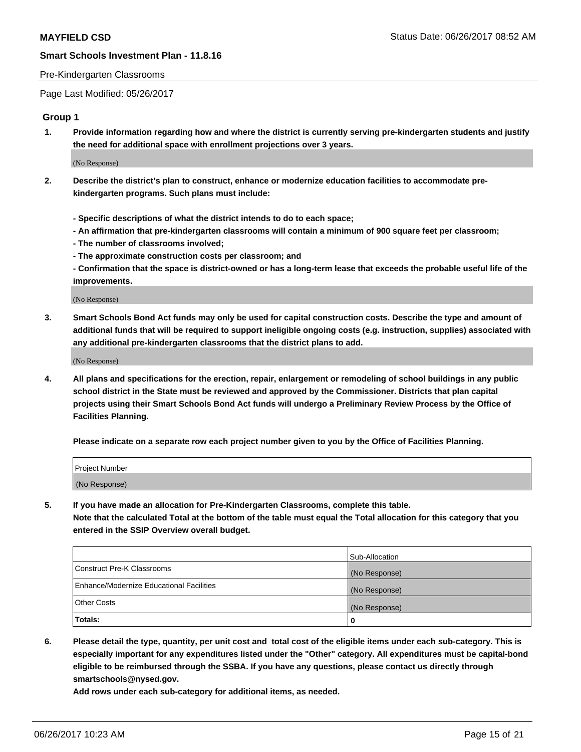#### Pre-Kindergarten Classrooms

Page Last Modified: 05/26/2017

## **Group 1**

**1. Provide information regarding how and where the district is currently serving pre-kindergarten students and justify the need for additional space with enrollment projections over 3 years.**

(No Response)

- **2. Describe the district's plan to construct, enhance or modernize education facilities to accommodate prekindergarten programs. Such plans must include:**
	- **Specific descriptions of what the district intends to do to each space;**
	- **An affirmation that pre-kindergarten classrooms will contain a minimum of 900 square feet per classroom;**
	- **The number of classrooms involved;**
	- **The approximate construction costs per classroom; and**
	- **Confirmation that the space is district-owned or has a long-term lease that exceeds the probable useful life of the improvements.**

(No Response)

**3. Smart Schools Bond Act funds may only be used for capital construction costs. Describe the type and amount of additional funds that will be required to support ineligible ongoing costs (e.g. instruction, supplies) associated with any additional pre-kindergarten classrooms that the district plans to add.**

(No Response)

**4. All plans and specifications for the erection, repair, enlargement or remodeling of school buildings in any public school district in the State must be reviewed and approved by the Commissioner. Districts that plan capital projects using their Smart Schools Bond Act funds will undergo a Preliminary Review Process by the Office of Facilities Planning.**

**Please indicate on a separate row each project number given to you by the Office of Facilities Planning.**

| Project Number |  |
|----------------|--|
| (No Response)  |  |

**5. If you have made an allocation for Pre-Kindergarten Classrooms, complete this table. Note that the calculated Total at the bottom of the table must equal the Total allocation for this category that you entered in the SSIP Overview overall budget.**

| Totals:                                  | 0              |
|------------------------------------------|----------------|
| Other Costs                              | (No Response)  |
| Enhance/Modernize Educational Facilities | (No Response)  |
| Construct Pre-K Classrooms               | (No Response)  |
|                                          | Sub-Allocation |

**6. Please detail the type, quantity, per unit cost and total cost of the eligible items under each sub-category. This is especially important for any expenditures listed under the "Other" category. All expenditures must be capital-bond eligible to be reimbursed through the SSBA. If you have any questions, please contact us directly through smartschools@nysed.gov.**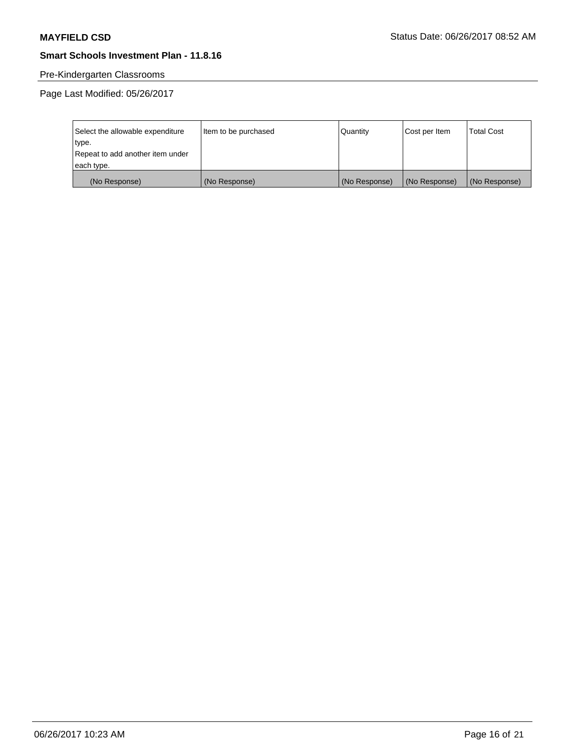# Pre-Kindergarten Classrooms

Page Last Modified: 05/26/2017

| Select the allowable expenditure | Item to be purchased | Quantity      | Cost per Item | <b>Total Cost</b> |
|----------------------------------|----------------------|---------------|---------------|-------------------|
| type.                            |                      |               |               |                   |
| Repeat to add another item under |                      |               |               |                   |
| each type.                       |                      |               |               |                   |
| (No Response)                    | (No Response)        | (No Response) | (No Response) | (No Response)     |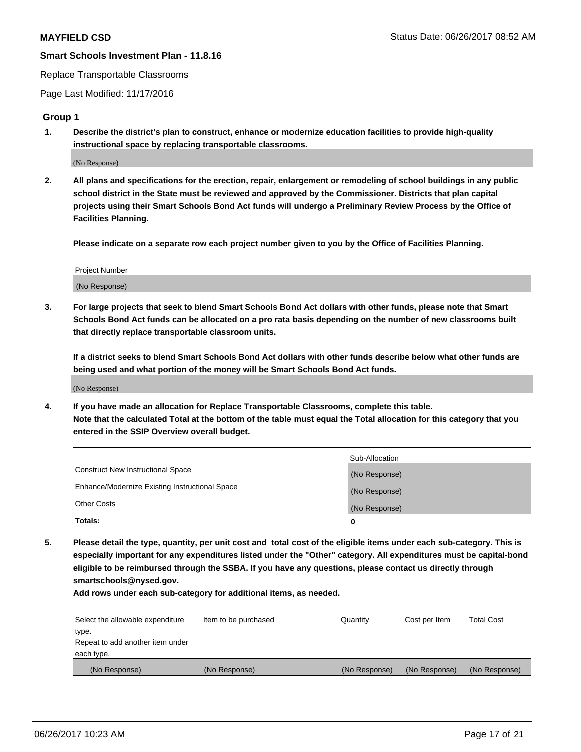#### Replace Transportable Classrooms

Page Last Modified: 11/17/2016

#### **Group 1**

**1. Describe the district's plan to construct, enhance or modernize education facilities to provide high-quality instructional space by replacing transportable classrooms.**

(No Response)

**2. All plans and specifications for the erection, repair, enlargement or remodeling of school buildings in any public school district in the State must be reviewed and approved by the Commissioner. Districts that plan capital projects using their Smart Schools Bond Act funds will undergo a Preliminary Review Process by the Office of Facilities Planning.**

**Please indicate on a separate row each project number given to you by the Office of Facilities Planning.**

| Project Number |  |
|----------------|--|
| (No Response)  |  |

**3. For large projects that seek to blend Smart Schools Bond Act dollars with other funds, please note that Smart Schools Bond Act funds can be allocated on a pro rata basis depending on the number of new classrooms built that directly replace transportable classroom units.**

**If a district seeks to blend Smart Schools Bond Act dollars with other funds describe below what other funds are being used and what portion of the money will be Smart Schools Bond Act funds.**

(No Response)

**4. If you have made an allocation for Replace Transportable Classrooms, complete this table. Note that the calculated Total at the bottom of the table must equal the Total allocation for this category that you entered in the SSIP Overview overall budget.**

|                                                | Sub-Allocation |
|------------------------------------------------|----------------|
| Construct New Instructional Space              | (No Response)  |
| Enhance/Modernize Existing Instructional Space | (No Response)  |
| Other Costs                                    | (No Response)  |
| Totals:                                        | $\Omega$       |

**5. Please detail the type, quantity, per unit cost and total cost of the eligible items under each sub-category. This is especially important for any expenditures listed under the "Other" category. All expenditures must be capital-bond eligible to be reimbursed through the SSBA. If you have any questions, please contact us directly through smartschools@nysed.gov.**

| Select the allowable expenditure | Item to be purchased | Quantity      | Cost per Item | <b>Total Cost</b> |
|----------------------------------|----------------------|---------------|---------------|-------------------|
| type.                            |                      |               |               |                   |
| Repeat to add another item under |                      |               |               |                   |
| each type.                       |                      |               |               |                   |
| (No Response)                    | (No Response)        | (No Response) | (No Response) | (No Response)     |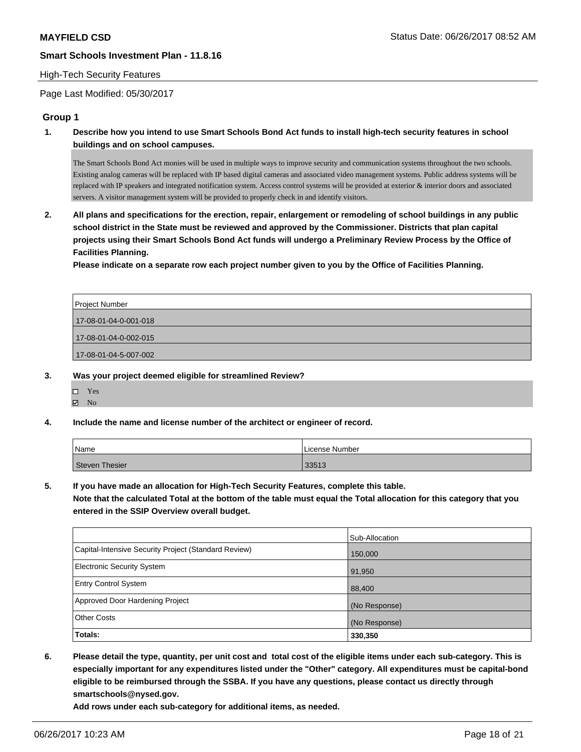#### High-Tech Security Features

Page Last Modified: 05/30/2017

#### **Group 1**

**1. Describe how you intend to use Smart Schools Bond Act funds to install high-tech security features in school buildings and on school campuses.**

The Smart Schools Bond Act monies will be used in multiple ways to improve security and communication systems throughout the two schools. Existing analog cameras will be replaced with IP based digital cameras and associated video management systems. Public address systems will be replaced with IP speakers and integrated notification system. Access control systems will be provided at exterior & interior doors and associated servers. A visitor management system will be provided to properly check in and identify visitors.

**2. All plans and specifications for the erection, repair, enlargement or remodeling of school buildings in any public school district in the State must be reviewed and approved by the Commissioner. Districts that plan capital projects using their Smart Schools Bond Act funds will undergo a Preliminary Review Process by the Office of Facilities Planning.** 

**Please indicate on a separate row each project number given to you by the Office of Facilities Planning.**

| Project Number        |
|-----------------------|
| 17-08-01-04-0-001-018 |
| 17-08-01-04-0-002-015 |
| 17-08-01-04-5-007-002 |

- **3. Was your project deemed eligible for streamlined Review?**
	- Yes
	- $\boxtimes$  No
- **4. Include the name and license number of the architect or engineer of record.**

| Name                  | License Number |
|-----------------------|----------------|
| <b>Steven Thesier</b> | 33513          |

**5. If you have made an allocation for High-Tech Security Features, complete this table.**

**Note that the calculated Total at the bottom of the table must equal the Total allocation for this category that you entered in the SSIP Overview overall budget.**

|                                                      | Sub-Allocation |
|------------------------------------------------------|----------------|
| Capital-Intensive Security Project (Standard Review) | 150,000        |
| <b>Electronic Security System</b>                    | 91,950         |
| <b>Entry Control System</b>                          | 88,400         |
| Approved Door Hardening Project                      | (No Response)  |
| <b>Other Costs</b>                                   | (No Response)  |
| Totals:                                              | 330,350        |

**6. Please detail the type, quantity, per unit cost and total cost of the eligible items under each sub-category. This is especially important for any expenditures listed under the "Other" category. All expenditures must be capital-bond eligible to be reimbursed through the SSBA. If you have any questions, please contact us directly through smartschools@nysed.gov.**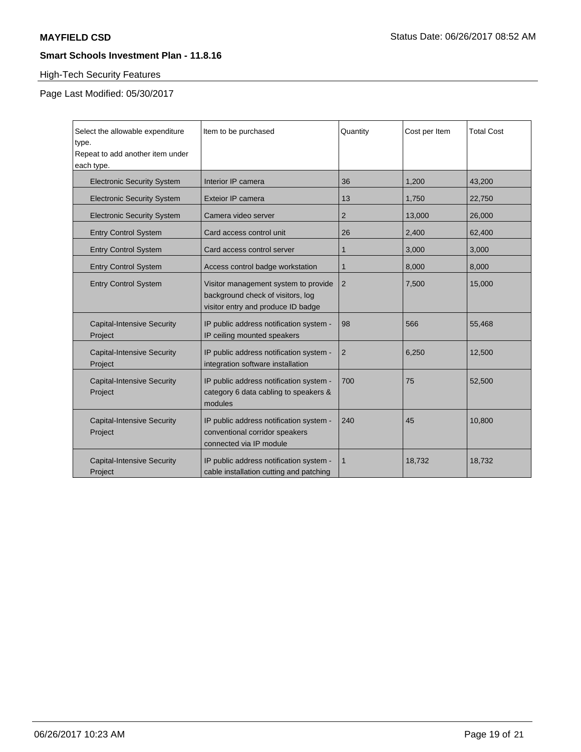# High-Tech Security Features

Page Last Modified: 05/30/2017

| Select the allowable expenditure<br>type.<br>Repeat to add another item under<br>each type. | Item to be purchased                                                                                            | Quantity       | Cost per Item | <b>Total Cost</b> |
|---------------------------------------------------------------------------------------------|-----------------------------------------------------------------------------------------------------------------|----------------|---------------|-------------------|
| <b>Electronic Security System</b>                                                           | Interior IP camera                                                                                              | 36             | 1.200         | 43,200            |
| <b>Electronic Security System</b>                                                           | Exteior IP camera                                                                                               | 13             | 1,750         | 22,750            |
| <b>Electronic Security System</b>                                                           | Camera video server                                                                                             | 2              | 13,000        | 26,000            |
| <b>Entry Control System</b>                                                                 | Card access control unit                                                                                        | 26             | 2,400         | 62,400            |
| <b>Entry Control System</b>                                                                 | Card access control server                                                                                      | 1              | 3,000         | 3,000             |
| <b>Entry Control System</b>                                                                 | Access control badge workstation                                                                                | $\mathbf{1}$   | 8,000         | 8,000             |
| <b>Entry Control System</b>                                                                 | Visitor management system to provide<br>background check of visitors, log<br>visitor entry and produce ID badge | 2              | 7,500         | 15,000            |
| <b>Capital-Intensive Security</b><br>Project                                                | IP public address notification system -<br>IP ceiling mounted speakers                                          | 98             | 566           | 55,468            |
| <b>Capital-Intensive Security</b><br>Project                                                | IP public address notification system -<br>integration software installation                                    | $\overline{2}$ | 6,250         | 12,500            |
| <b>Capital-Intensive Security</b><br>Project                                                | IP public address notification system -<br>category 6 data cabling to speakers &<br>modules                     | 700            | 75            | 52,500            |
| <b>Capital-Intensive Security</b><br>Project                                                | IP public address notification system -<br>conventional corridor speakers<br>connected via IP module            | 240            | 45            | 10,800            |
| <b>Capital-Intensive Security</b><br>Project                                                | IP public address notification system -<br>cable installation cutting and patching                              | 1              | 18,732        | 18,732            |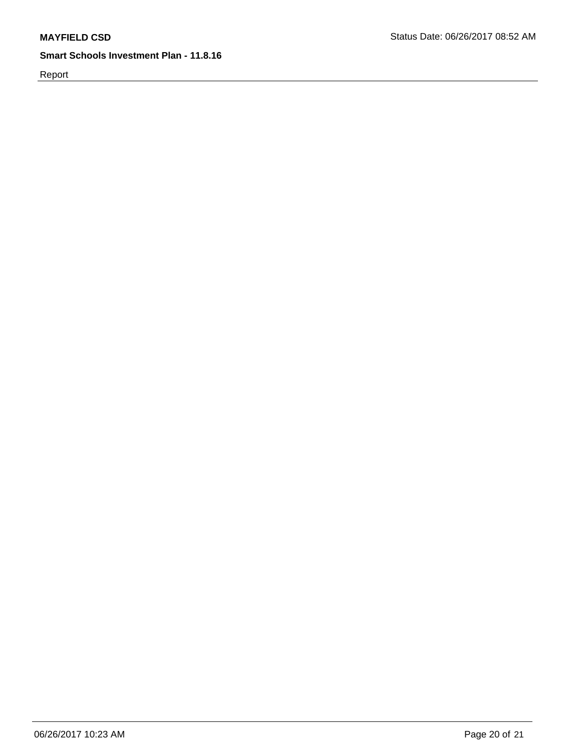Report